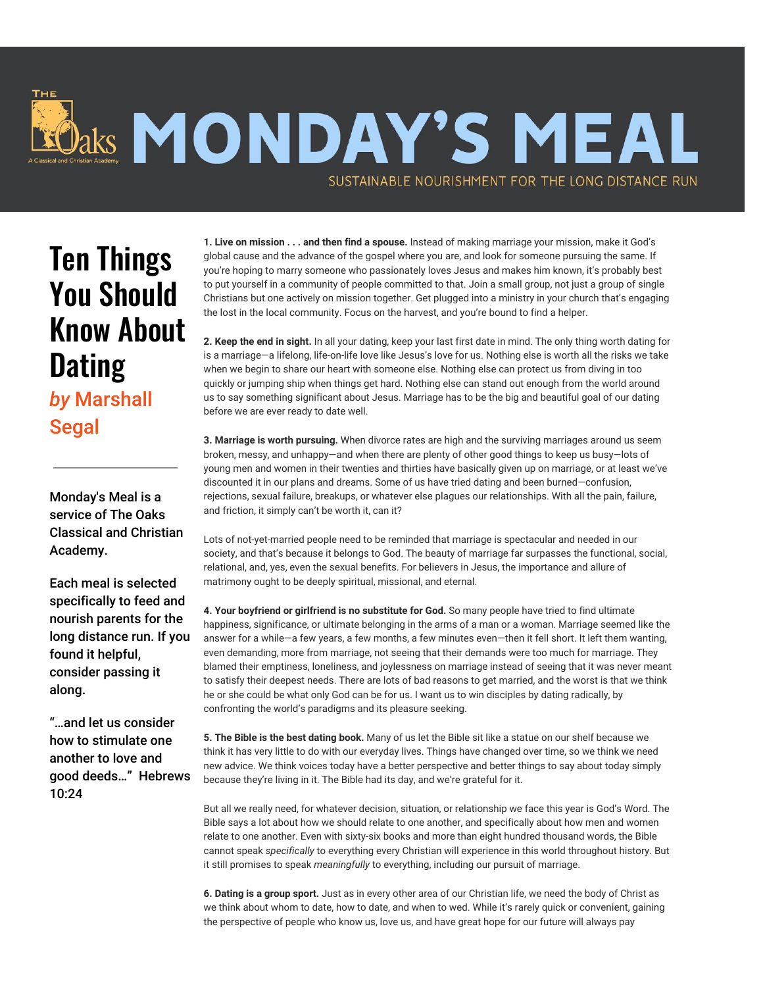

## Ten Things You Should Know About **Dating** *by* Marshall

Segal

Monday's Meal is a service of The Oaks Classical and Christian Academy.

Each meal is selected specifically to feed and nourish parents for the long distance run. If you found it helpful, consider passing it along.

"…and let us consider how to stimulate one another to love and good deeds…" Hebrews 10:24

**1. Live on mission . . . and then find a spouse.** Instead of making marriage your mission, make it God's global cause and the advance of the gospel where you are, and look for someone pursuing the same. If you're hoping to marry someone who passionately loves Jesus and makes him known, it's probably best to put yourself in a community of people committed to that. Join a small group, not just a group of single Christians but one actively on mission together. Get plugged into a ministry in your church that's engaging the lost in the local community. Focus on the harvest, and you're bound to find a helper.

**2. Keep the end in sight.** In all your dating, keep your last first date in mind. The only thing worth dating for is a marriage—a lifelong, life-on-life love like Jesus's love for us. Nothing else is worth all the risks we take when we begin to share our heart with someone else. Nothing else can protect us from diving in too quickly or jumping ship when things get hard. Nothing else can stand out enough from the world around us to say something significant about Jesus. Marriage has to be the big and beautiful goal of our dating before we are ever ready to date well.

**3. Marriage is worth pursuing.** When divorce rates are high and the surviving marriages around us seem broken, messy, and unhappy—and when there are plenty of other good things to keep us busy—lots of young men and women in their twenties and thirties have basically given up on marriage, or at least we've discounted it in our plans and dreams. Some of us have tried dating and been burned—confusion, rejections, sexual failure, breakups, or whatever else plagues our relationships. With all the pain, failure, and friction, it simply can't be worth it, can it?

Lots of not-yet-married people need to be reminded that marriage is spectacular and needed in our society, and that's because it belongs to God. The beauty of marriage far surpasses the functional, social, relational, and, yes, even the sexual benefits. For believers in Jesus, the importance and allure of matrimony ought to be deeply spiritual, missional, and eternal.

**4. Your boyfriend or girlfriend is no substitute for God.** So many people have tried to find ultimate happiness, significance, or ultimate belonging in the arms of a man or a woman. Marriage seemed like the answer for a while—a few years, a few months, a few minutes even—then it fell short. It left them wanting, even demanding, more from marriage, not seeing that their demands were too much for marriage. They blamed their emptiness, loneliness, and joylessness on marriage instead of seeing that it was never meant to satisfy their deepest needs. There are lots of bad reasons to get married, and the worst is that we think he or she could be what only God can be for us. I want us to win disciples by dating radically, by confronting the world's paradigms and its pleasure seeking.

**5. The Bible is the best dating book.** Many of us let the Bible sit like a statue on our shelf because we think it has very little to do with our everyday lives. Things have changed over time, so we think we need new advice. We think voices today have a better perspective and better things to say about today simply because they're living in it. The Bible had its day, and we're grateful for it.

But all we really need, for whatever decision, situation, or relationship we face this year is God's Word. The Bible says a lot about how we should relate to one another, and specifically about how men and women relate to one another. Even with sixty-six books and more than eight hundred thousand words, the Bible cannot speak *specifically* to everything every Christian will experience in this world throughout history. But it still promises to speak *meaningfully* to everything, including our pursuit of marriage.

**6. Dating is a group sport.** Just as in every other area of our Christian life, we need the body of Christ as we think about whom to date, how to date, and when to wed. While it's rarely quick or convenient, gaining the perspective of people who know us, love us, and have great hope for our future will always pay